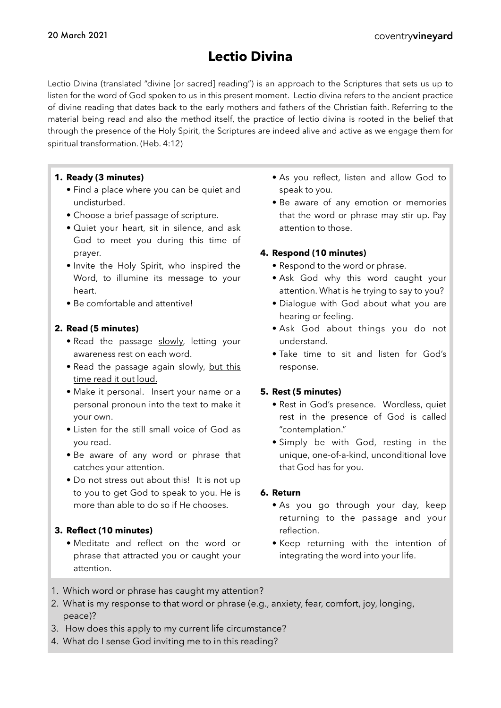# **Lectio Divina**

Lectio Divina (translated "divine [or sacred] reading") is an approach to the Scriptures that sets us up to listen for the word of God spoken to us in this present moment. Lectio divina refers to the ancient practice of divine reading that dates back to the early mothers and fathers of the Christian faith. Referring to the material being read and also the method itself, the practice of lectio divina is rooted in the belief that through the presence of the Holy Spirit, the Scriptures are indeed alive and active as we engage them for spiritual transformation. (Heb. 4:12)

#### **1. Ready (3 minutes)**

- Find a place where you can be quiet and undisturbed.
- Choose a brief passage of scripture.
- Quiet your heart, sit in silence, and ask God to meet you during this time of prayer.
- Invite the Holy Spirit, who inspired the Word, to illumine its message to your heart.
- Be comfortable and attentive!

#### **2. Read (5 minutes)**

- Read the passage slowly, letting your awareness rest on each word.
- Read the passage again slowly, but this time read it out loud.
- Make it personal. Insert your name or a personal pronoun into the text to make it your own.
- Listen for the still small voice of God as you read.
- Be aware of any word or phrase that catches your attention.
- Do not stress out about this! It is not up to you to get God to speak to you. He is more than able to do so if He chooses.

### **3. Reflect (10 minutes)**

• Meditate and reflect on the word or phrase that attracted you or caught your attention.

- As you reflect, listen and allow God to speak to you.
- Be aware of any emotion or memories that the word or phrase may stir up. Pay attention to those.

#### **4. Respond (10 minutes)**

- Respond to the word or phrase.
- Ask God why this word caught your attention. What is he trying to say to you?
- Dialogue with God about what you are hearing or feeling.
- Ask God about things you do not understand.
- Take time to sit and listen for God's response.

#### **5. Rest (5 minutes)**

- Rest in God's presence. Wordless, quiet rest in the presence of God is called "contemplation."
- Simply be with God, resting in the unique, one-of-a-kind, unconditional love that God has for you.

#### **6. Return**

- As you go through your day, keep returning to the passage and your reflection.
- Keep returning with the intention of integrating the word into your life.
- 1. Which word or phrase has caught my attention?
- 2. What is my response to that word or phrase (e.g., anxiety, fear, comfort, joy, longing, peace)?
- 3. How does this apply to my current life circumstance?
- 4. What do I sense God inviting me to in this reading?